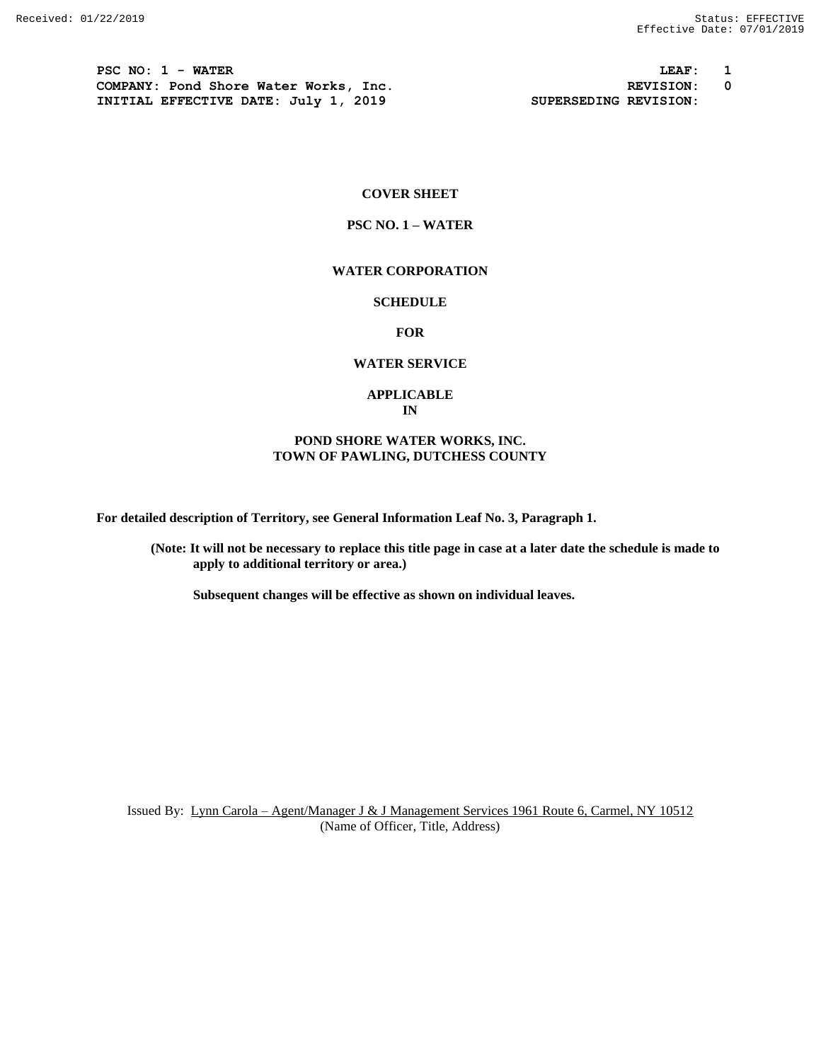**PSC NO: 1 - WATER LEAF: 1 COMPANY: Pond Shore Water Works, Inc. REVISION: 0 INITIAL EFFECTIVE DATE: July 1, 2019 SUPERSEDING REVISION:**

#### **COVER SHEET**

#### **PSC NO. 1 – WATER**

## **WATER CORPORATION**

# **SCHEDULE**

## **FOR**

## **WATER SERVICE**

#### **APPLICABLE IN**

## **POND SHORE WATER WORKS, INC. TOWN OF PAWLING, DUTCHESS COUNTY**

**For detailed description of Territory, see General Information Leaf No. 3, Paragraph 1.**

**(Note: It will not be necessary to replace this title page in case at a later date the schedule is made to apply to additional territory or area.)**

**Subsequent changes will be effective as shown on individual leaves.**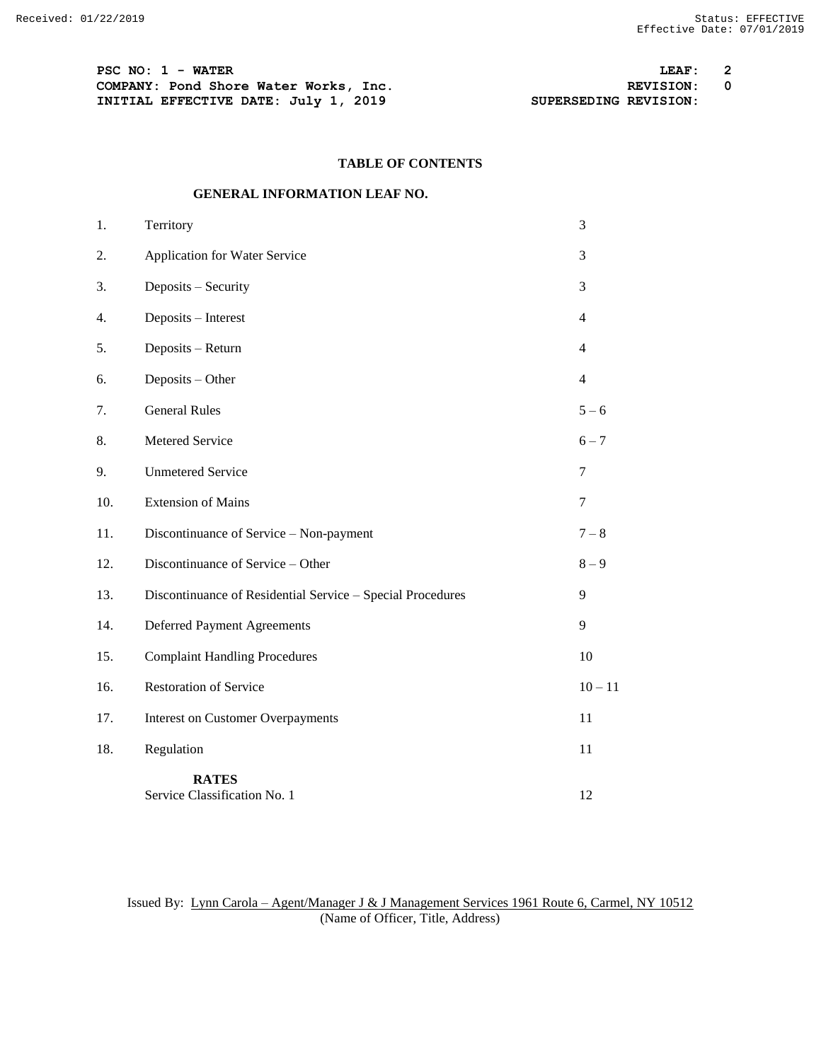**PSC NO: 1 - WATER LEAF: 2 COMPANY:** Pond Shore Water Works, Inc.<br> **INITIAL EFFECTIVE DATE:** July 1, 2019<br> **REVISION:** SUPERSEDING REVISION: **INITIAL EFFECTIVE DATE: July 1, 2019** 

# **TABLE OF CONTENTS**

## **GENERAL INFORMATION LEAF NO.**

| 1.  | Territory                                                  | 3              |
|-----|------------------------------------------------------------|----------------|
| 2.  | Application for Water Service                              | 3              |
| 3.  | Deposits - Security                                        | 3              |
| 4.  | Deposits - Interest                                        | 4              |
| 5.  | Deposits - Return                                          | 4              |
| 6.  | Deposits - Other                                           | $\overline{4}$ |
| 7.  | <b>General Rules</b>                                       | $5 - 6$        |
| 8.  | Metered Service                                            | $6 - 7$        |
| 9.  | <b>Unmetered Service</b>                                   | 7              |
| 10. | <b>Extension of Mains</b>                                  | $\overline{7}$ |
| 11. | Discontinuance of Service - Non-payment                    | $7 - 8$        |
| 12. | Discontinuance of Service - Other                          | $8-9$          |
| 13. | Discontinuance of Residential Service - Special Procedures | 9              |
| 14. | Deferred Payment Agreements                                | 9              |
| 15. | <b>Complaint Handling Procedures</b>                       | 10             |
| 16. | <b>Restoration of Service</b>                              | $10 - 11$      |
| 17. | <b>Interest on Customer Overpayments</b>                   | 11             |
| 18. | Regulation                                                 | 11             |
|     | <b>RATES</b><br>Service Classification No. 1               | 12             |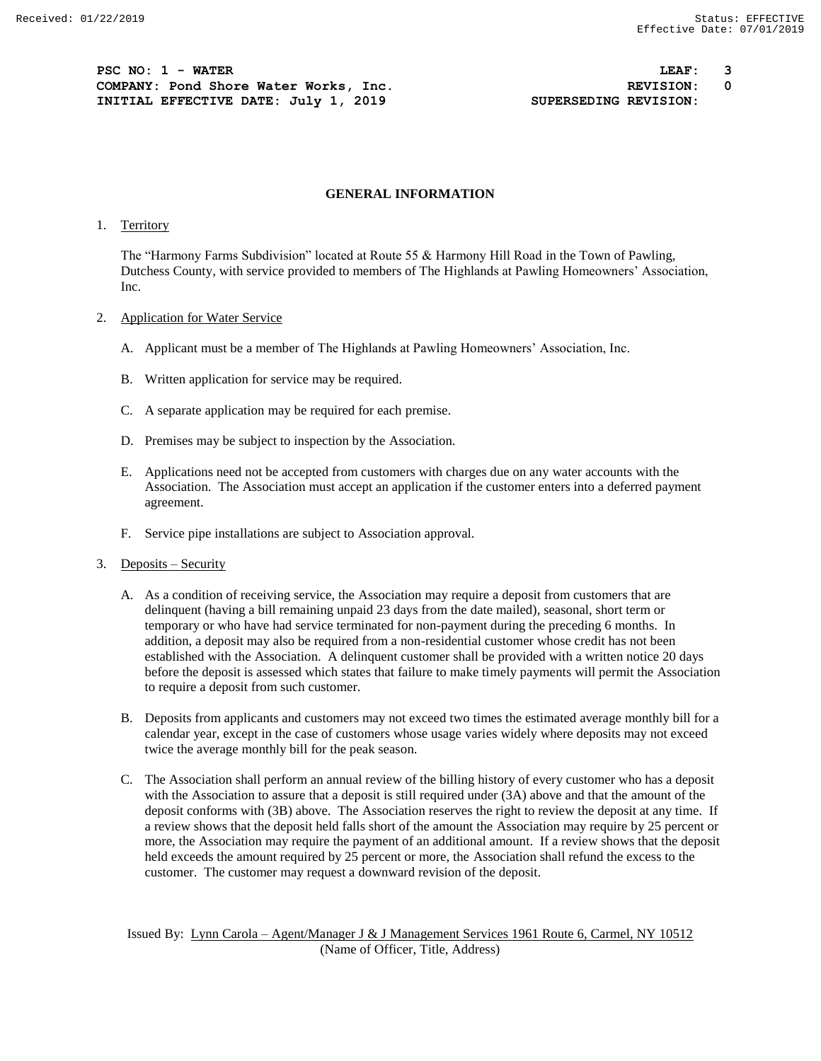**PSC NO: 1 - WATER LEAF: 3 COMPANY: Pond Shore Water Works, Inc. REVISION: 0 INITIAL EFFECTIVE DATE:** July 1, 2019 **SUPERSEDING REVISION:** 

#### **GENERAL INFORMATION**

## 1. Territory

The "Harmony Farms Subdivision" located at Route 55 & Harmony Hill Road in the Town of Pawling, Dutchess County, with service provided to members of The Highlands at Pawling Homeowners' Association, Inc.

### 2. Application for Water Service

- A. Applicant must be a member of The Highlands at Pawling Homeowners' Association, Inc.
- B. Written application for service may be required.
- C. A separate application may be required for each premise.
- D. Premises may be subject to inspection by the Association.
- E. Applications need not be accepted from customers with charges due on any water accounts with the Association. The Association must accept an application if the customer enters into a deferred payment agreement.
- F. Service pipe installations are subject to Association approval.
- 3. Deposits Security
	- A. As a condition of receiving service, the Association may require a deposit from customers that are delinquent (having a bill remaining unpaid 23 days from the date mailed), seasonal, short term or temporary or who have had service terminated for non-payment during the preceding 6 months. In addition, a deposit may also be required from a non-residential customer whose credit has not been established with the Association. A delinquent customer shall be provided with a written notice 20 days before the deposit is assessed which states that failure to make timely payments will permit the Association to require a deposit from such customer.
	- B. Deposits from applicants and customers may not exceed two times the estimated average monthly bill for a calendar year, except in the case of customers whose usage varies widely where deposits may not exceed twice the average monthly bill for the peak season.
	- C. The Association shall perform an annual review of the billing history of every customer who has a deposit with the Association to assure that a deposit is still required under (3A) above and that the amount of the deposit conforms with (3B) above. The Association reserves the right to review the deposit at any time. If a review shows that the deposit held falls short of the amount the Association may require by 25 percent or more, the Association may require the payment of an additional amount. If a review shows that the deposit held exceeds the amount required by 25 percent or more, the Association shall refund the excess to the customer. The customer may request a downward revision of the deposit.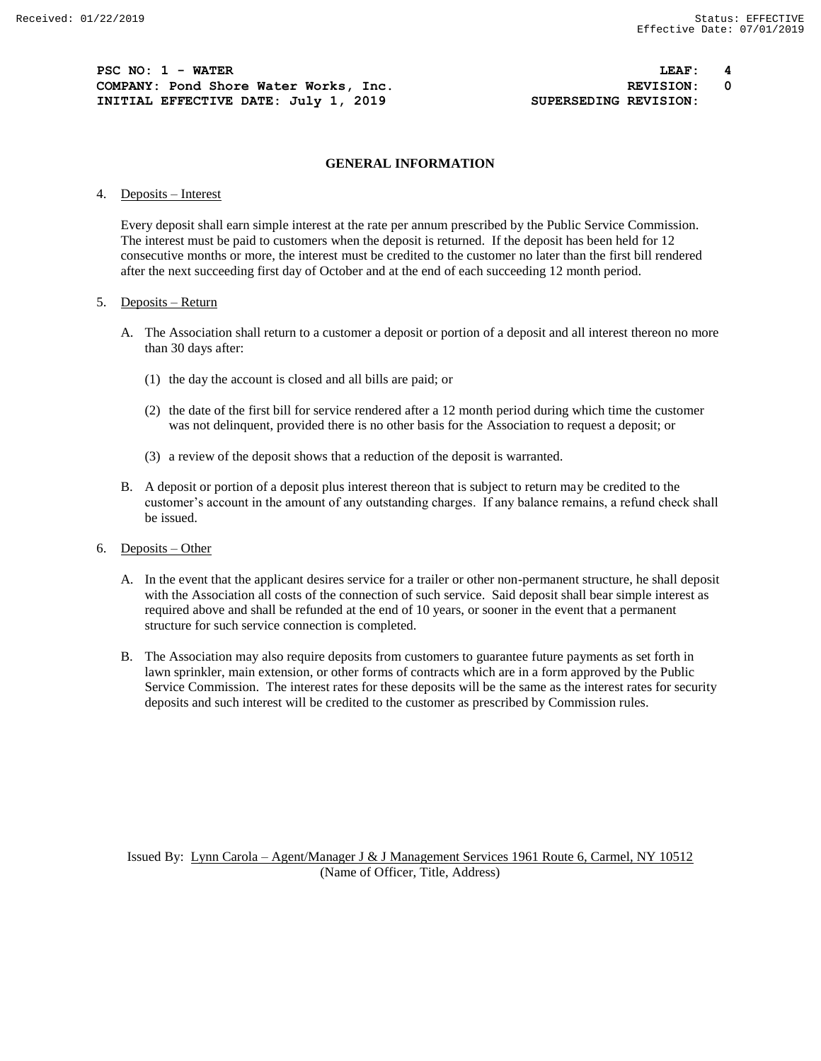**PSC NO: 1 - WATER LEAF: 4 COMPANY: Pond Shore Water Works, Inc. REVISION: 0 INITIAL EFFECTIVE DATE:** July 1, 2019 **SUPERSEDING REVISION:** 

### **GENERAL INFORMATION**

4. Deposits – Interest

Every deposit shall earn simple interest at the rate per annum prescribed by the Public Service Commission. The interest must be paid to customers when the deposit is returned. If the deposit has been held for 12 consecutive months or more, the interest must be credited to the customer no later than the first bill rendered after the next succeeding first day of October and at the end of each succeeding 12 month period.

## 5. Deposits – Return

- A. The Association shall return to a customer a deposit or portion of a deposit and all interest thereon no more than 30 days after:
	- (1) the day the account is closed and all bills are paid; or
	- (2) the date of the first bill for service rendered after a 12 month period during which time the customer was not delinquent, provided there is no other basis for the Association to request a deposit; or
	- (3) a review of the deposit shows that a reduction of the deposit is warranted.
- B. A deposit or portion of a deposit plus interest thereon that is subject to return may be credited to the customer's account in the amount of any outstanding charges. If any balance remains, a refund check shall be issued.
- 6. Deposits Other
	- A. In the event that the applicant desires service for a trailer or other non-permanent structure, he shall deposit with the Association all costs of the connection of such service. Said deposit shall bear simple interest as required above and shall be refunded at the end of 10 years, or sooner in the event that a permanent structure for such service connection is completed.
	- B. The Association may also require deposits from customers to guarantee future payments as set forth in lawn sprinkler, main extension, or other forms of contracts which are in a form approved by the Public Service Commission. The interest rates for these deposits will be the same as the interest rates for security deposits and such interest will be credited to the customer as prescribed by Commission rules.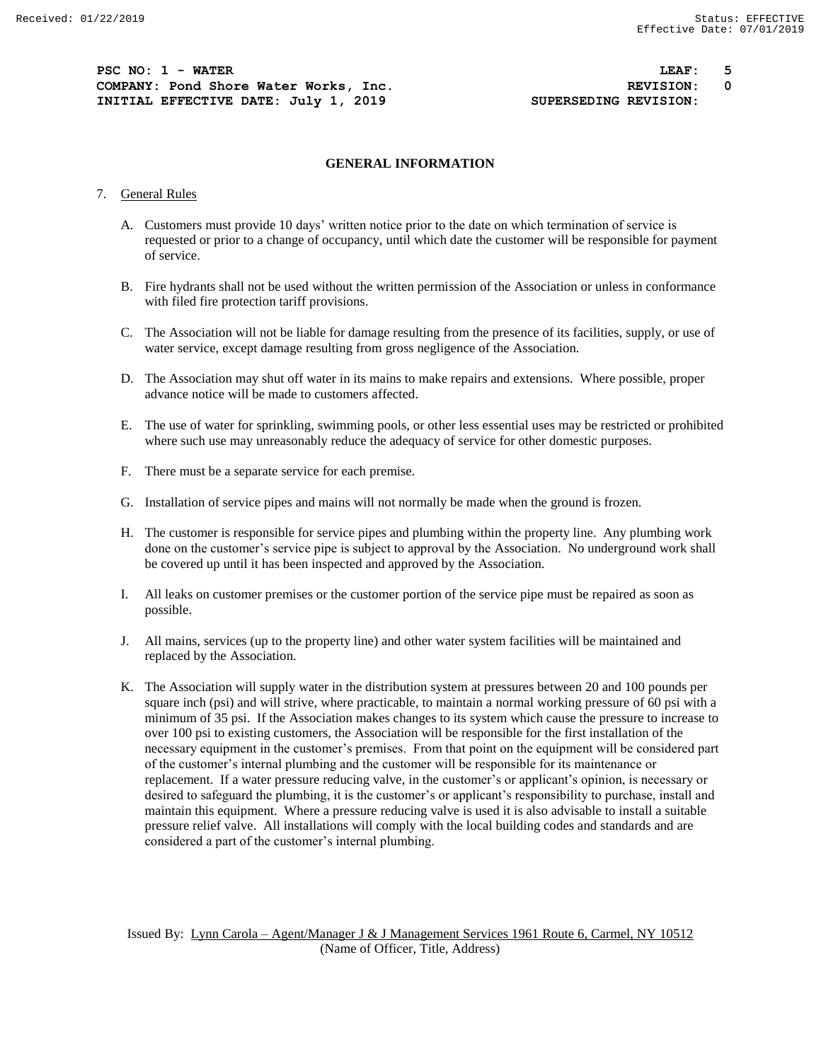**PSC NO: 1 - WATER LEAF: 5 COMPANY: Pond Shore Water Works, Inc. REVISION: 0 INITIAL EFFECTIVE DATE: July 1, 2019 SUPERSEDING REVISION:**

### **GENERAL INFORMATION**

#### 7. General Rules

- A. Customers must provide 10 days' written notice prior to the date on which termination of service is requested or prior to a change of occupancy, until which date the customer will be responsible for payment of service.
- B. Fire hydrants shall not be used without the written permission of the Association or unless in conformance with filed fire protection tariff provisions.
- C. The Association will not be liable for damage resulting from the presence of its facilities, supply, or use of water service, except damage resulting from gross negligence of the Association.
- D. The Association may shut off water in its mains to make repairs and extensions. Where possible, proper advance notice will be made to customers affected.
- E. The use of water for sprinkling, swimming pools, or other less essential uses may be restricted or prohibited where such use may unreasonably reduce the adequacy of service for other domestic purposes.
- F. There must be a separate service for each premise.
- G. Installation of service pipes and mains will not normally be made when the ground is frozen.
- H. The customer is responsible for service pipes and plumbing within the property line. Any plumbing work done on the customer's service pipe is subject to approval by the Association. No underground work shall be covered up until it has been inspected and approved by the Association.
- I. All leaks on customer premises or the customer portion of the service pipe must be repaired as soon as possible.
- J. All mains, services (up to the property line) and other water system facilities will be maintained and replaced by the Association.
- K. The Association will supply water in the distribution system at pressures between 20 and 100 pounds per square inch (psi) and will strive, where practicable, to maintain a normal working pressure of 60 psi with a minimum of 35 psi. If the Association makes changes to its system which cause the pressure to increase to over 100 psi to existing customers, the Association will be responsible for the first installation of the necessary equipment in the customer's premises. From that point on the equipment will be considered part of the customer's internal plumbing and the customer will be responsible for its maintenance or replacement. If a water pressure reducing valve, in the customer's or applicant's opinion, is necessary or desired to safeguard the plumbing, it is the customer's or applicant's responsibility to purchase, install and maintain this equipment. Where a pressure reducing valve is used it is also advisable to install a suitable pressure relief valve. All installations will comply with the local building codes and standards and are considered a part of the customer's internal plumbing.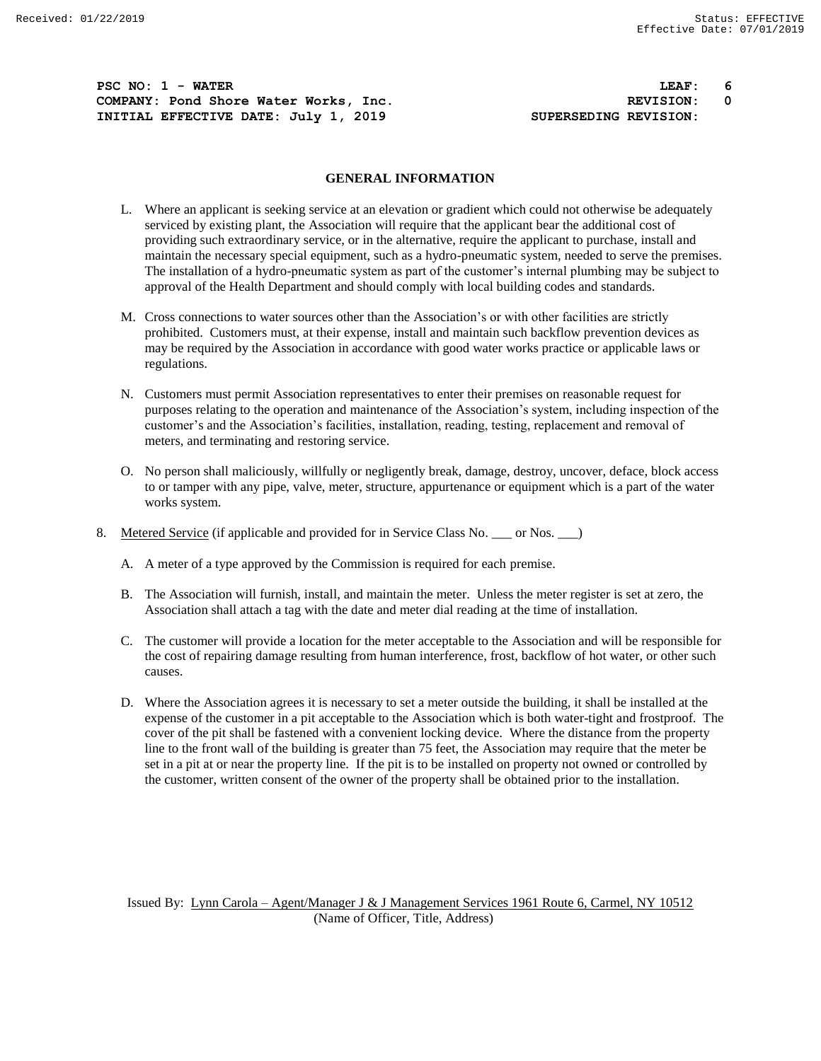**PSC NO: 1 - WATER LEAF: 6 COMPANY: Pond Shore Water Works, Inc. REVISION: 0 INITIAL EFFECTIVE DATE: July 1, 2019 SUPERSEDING REVISION:**

## **GENERAL INFORMATION**

- L. Where an applicant is seeking service at an elevation or gradient which could not otherwise be adequately serviced by existing plant, the Association will require that the applicant bear the additional cost of providing such extraordinary service, or in the alternative, require the applicant to purchase, install and maintain the necessary special equipment, such as a hydro-pneumatic system, needed to serve the premises. The installation of a hydro-pneumatic system as part of the customer's internal plumbing may be subject to approval of the Health Department and should comply with local building codes and standards.
- M. Cross connections to water sources other than the Association's or with other facilities are strictly prohibited. Customers must, at their expense, install and maintain such backflow prevention devices as may be required by the Association in accordance with good water works practice or applicable laws or regulations.
- N. Customers must permit Association representatives to enter their premises on reasonable request for purposes relating to the operation and maintenance of the Association's system, including inspection of the customer's and the Association's facilities, installation, reading, testing, replacement and removal of meters, and terminating and restoring service.
- O. No person shall maliciously, willfully or negligently break, damage, destroy, uncover, deface, block access to or tamper with any pipe, valve, meter, structure, appurtenance or equipment which is a part of the water works system.
- 8. Metered Service (if applicable and provided for in Service Class No. \_\_\_ or Nos. \_\_\_)
	- A. A meter of a type approved by the Commission is required for each premise.
	- B. The Association will furnish, install, and maintain the meter. Unless the meter register is set at zero, the Association shall attach a tag with the date and meter dial reading at the time of installation.
	- C. The customer will provide a location for the meter acceptable to the Association and will be responsible for the cost of repairing damage resulting from human interference, frost, backflow of hot water, or other such causes.
	- D. Where the Association agrees it is necessary to set a meter outside the building, it shall be installed at the expense of the customer in a pit acceptable to the Association which is both water-tight and frostproof. The cover of the pit shall be fastened with a convenient locking device. Where the distance from the property line to the front wall of the building is greater than 75 feet, the Association may require that the meter be set in a pit at or near the property line. If the pit is to be installed on property not owned or controlled by the customer, written consent of the owner of the property shall be obtained prior to the installation.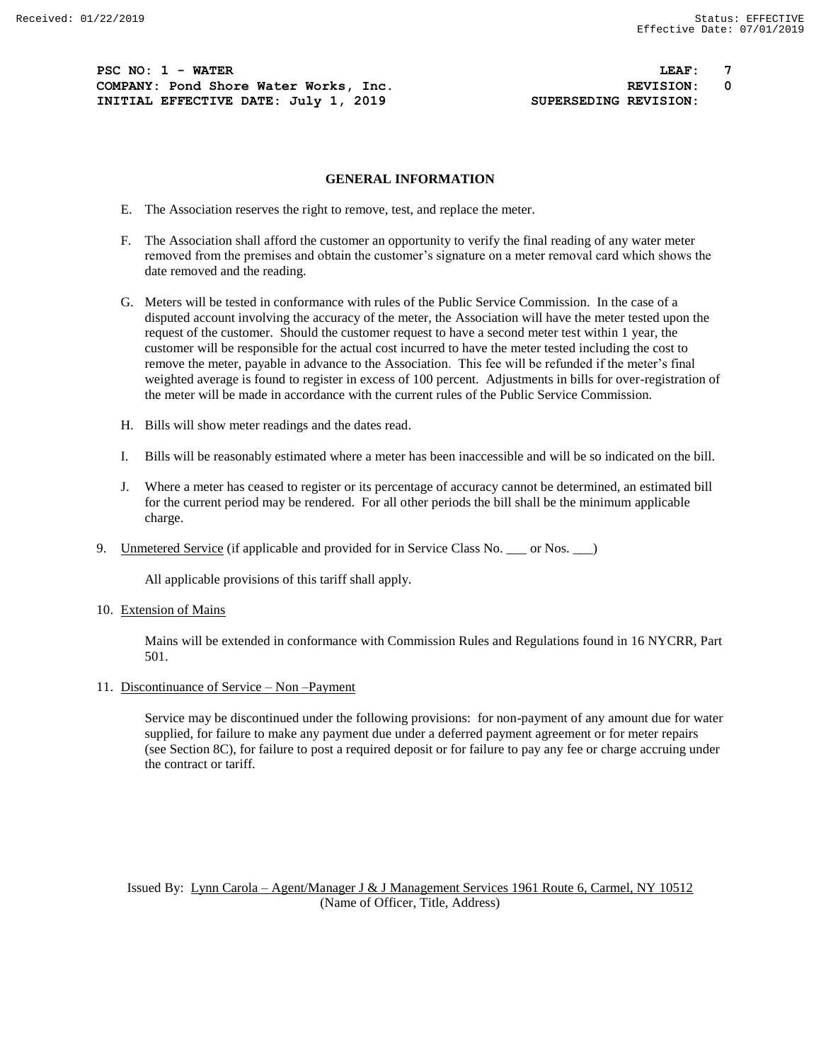**PSC NO: 1 - WATER LEAF: 7 COMPANY: Pond Shore Water Works, Inc. REVISION: 0 INITIAL EFFECTIVE DATE: July 1, 2019 SUPERSEDING REVISION:**

### **GENERAL INFORMATION**

- E. The Association reserves the right to remove, test, and replace the meter.
- F. The Association shall afford the customer an opportunity to verify the final reading of any water meter removed from the premises and obtain the customer's signature on a meter removal card which shows the date removed and the reading.
- G. Meters will be tested in conformance with rules of the Public Service Commission. In the case of a disputed account involving the accuracy of the meter, the Association will have the meter tested upon the request of the customer. Should the customer request to have a second meter test within 1 year, the customer will be responsible for the actual cost incurred to have the meter tested including the cost to remove the meter, payable in advance to the Association. This fee will be refunded if the meter's final weighted average is found to register in excess of 100 percent. Adjustments in bills for over-registration of the meter will be made in accordance with the current rules of the Public Service Commission.
- H. Bills will show meter readings and the dates read.
- I. Bills will be reasonably estimated where a meter has been inaccessible and will be so indicated on the bill.
- J. Where a meter has ceased to register or its percentage of accuracy cannot be determined, an estimated bill for the current period may be rendered. For all other periods the bill shall be the minimum applicable charge.
- 9. Unmetered Service (if applicable and provided for in Service Class No. \_\_\_ or Nos. \_\_ )

All applicable provisions of this tariff shall apply.

10. Extension of Mains

Mains will be extended in conformance with Commission Rules and Regulations found in 16 NYCRR, Part 501.

11. Discontinuance of Service – Non –Payment

Service may be discontinued under the following provisions: for non-payment of any amount due for water supplied, for failure to make any payment due under a deferred payment agreement or for meter repairs (see Section 8C), for failure to post a required deposit or for failure to pay any fee or charge accruing under the contract or tariff.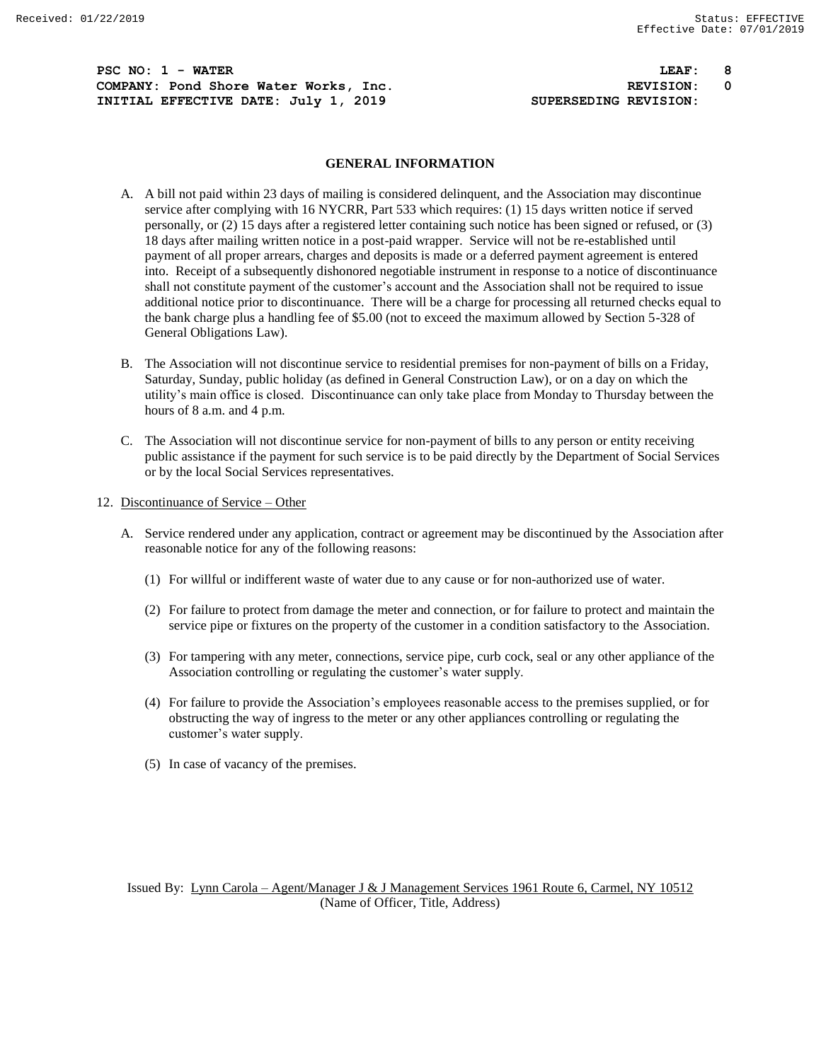**PSC NO: 1 - WATER LEAF: 8 COMPANY: Pond Shore Water Works, Inc. REVISION: 0 INITIAL EFFECTIVE DATE:** July 1, 2019 **SUPERSEDING REVISION:** 

#### **GENERAL INFORMATION**

- A. A bill not paid within 23 days of mailing is considered delinquent, and the Association may discontinue service after complying with 16 NYCRR, Part 533 which requires: (1) 15 days written notice if served personally, or (2) 15 days after a registered letter containing such notice has been signed or refused, or (3) 18 days after mailing written notice in a post-paid wrapper. Service will not be re-established until payment of all proper arrears, charges and deposits is made or a deferred payment agreement is entered into. Receipt of a subsequently dishonored negotiable instrument in response to a notice of discontinuance shall not constitute payment of the customer's account and the Association shall not be required to issue additional notice prior to discontinuance. There will be a charge for processing all returned checks equal to the bank charge plus a handling fee of \$5.00 (not to exceed the maximum allowed by Section 5-328 of General Obligations Law).
- B. The Association will not discontinue service to residential premises for non-payment of bills on a Friday, Saturday, Sunday, public holiday (as defined in General Construction Law), or on a day on which the utility's main office is closed. Discontinuance can only take place from Monday to Thursday between the hours of 8 a.m. and 4 p.m.
- C. The Association will not discontinue service for non-payment of bills to any person or entity receiving public assistance if the payment for such service is to be paid directly by the Department of Social Services or by the local Social Services representatives.
- 12. Discontinuance of Service Other
	- A. Service rendered under any application, contract or agreement may be discontinued by the Association after reasonable notice for any of the following reasons:
		- (1) For willful or indifferent waste of water due to any cause or for non-authorized use of water.
		- (2) For failure to protect from damage the meter and connection, or for failure to protect and maintain the service pipe or fixtures on the property of the customer in a condition satisfactory to the Association.
		- (3) For tampering with any meter, connections, service pipe, curb cock, seal or any other appliance of the Association controlling or regulating the customer's water supply.
		- (4) For failure to provide the Association's employees reasonable access to the premises supplied, or for obstructing the way of ingress to the meter or any other appliances controlling or regulating the customer's water supply.
		- (5) In case of vacancy of the premises.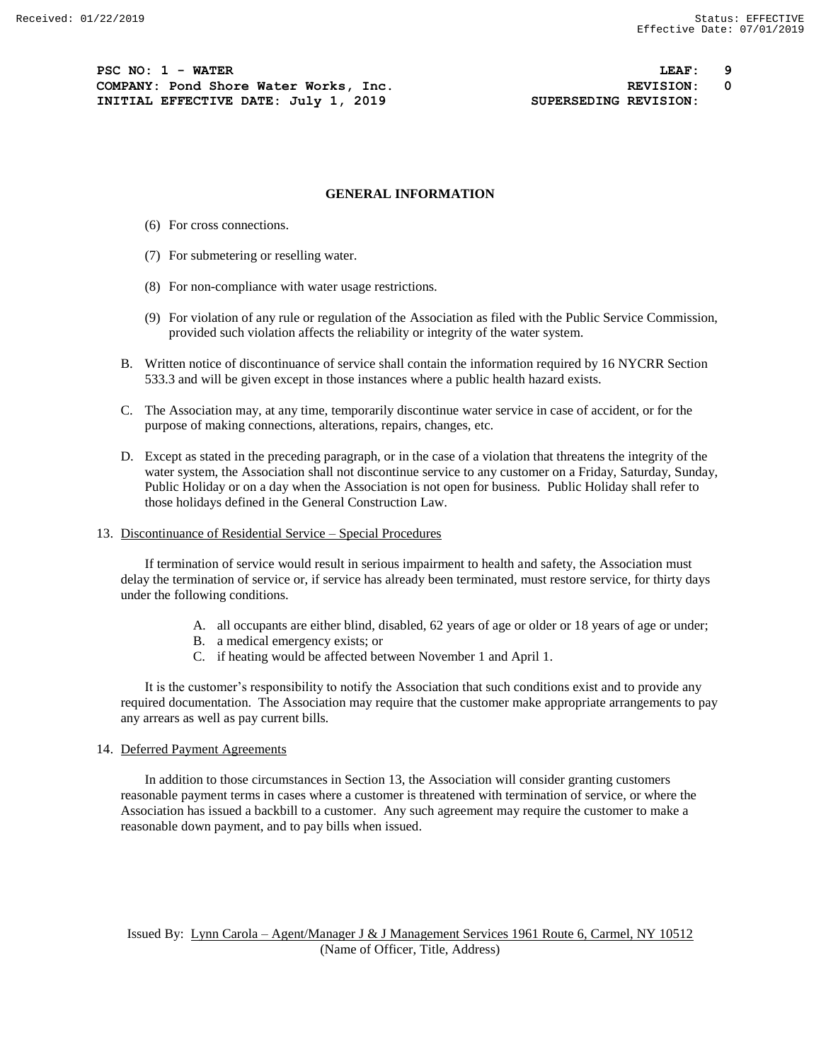**PSC NO: 1 - WATER LEAF: 9 COMPANY: Pond Shore Water Works, Inc. REVISION: 0 INITIAL EFFECTIVE DATE: July 1, 2019 SUPERSEDING REVISION:**

#### **GENERAL INFORMATION**

- (6) For cross connections.
- (7) For submetering or reselling water.
- (8) For non-compliance with water usage restrictions.
- (9) For violation of any rule or regulation of the Association as filed with the Public Service Commission, provided such violation affects the reliability or integrity of the water system.
- B. Written notice of discontinuance of service shall contain the information required by 16 NYCRR Section 533.3 and will be given except in those instances where a public health hazard exists.
- C. The Association may, at any time, temporarily discontinue water service in case of accident, or for the purpose of making connections, alterations, repairs, changes, etc.
- D. Except as stated in the preceding paragraph, or in the case of a violation that threatens the integrity of the water system, the Association shall not discontinue service to any customer on a Friday, Saturday, Sunday, Public Holiday or on a day when the Association is not open for business. Public Holiday shall refer to those holidays defined in the General Construction Law.
- 13. Discontinuance of Residential Service Special Procedures

If termination of service would result in serious impairment to health and safety, the Association must delay the termination of service or, if service has already been terminated, must restore service, for thirty days under the following conditions.

- A. all occupants are either blind, disabled, 62 years of age or older or 18 years of age or under;
- B. a medical emergency exists; or
- C. if heating would be affected between November 1 and April 1.

It is the customer's responsibility to notify the Association that such conditions exist and to provide any required documentation. The Association may require that the customer make appropriate arrangements to pay any arrears as well as pay current bills.

#### 14. Deferred Payment Agreements

In addition to those circumstances in Section 13, the Association will consider granting customers reasonable payment terms in cases where a customer is threatened with termination of service, or where the Association has issued a backbill to a customer. Any such agreement may require the customer to make a reasonable down payment, and to pay bills when issued.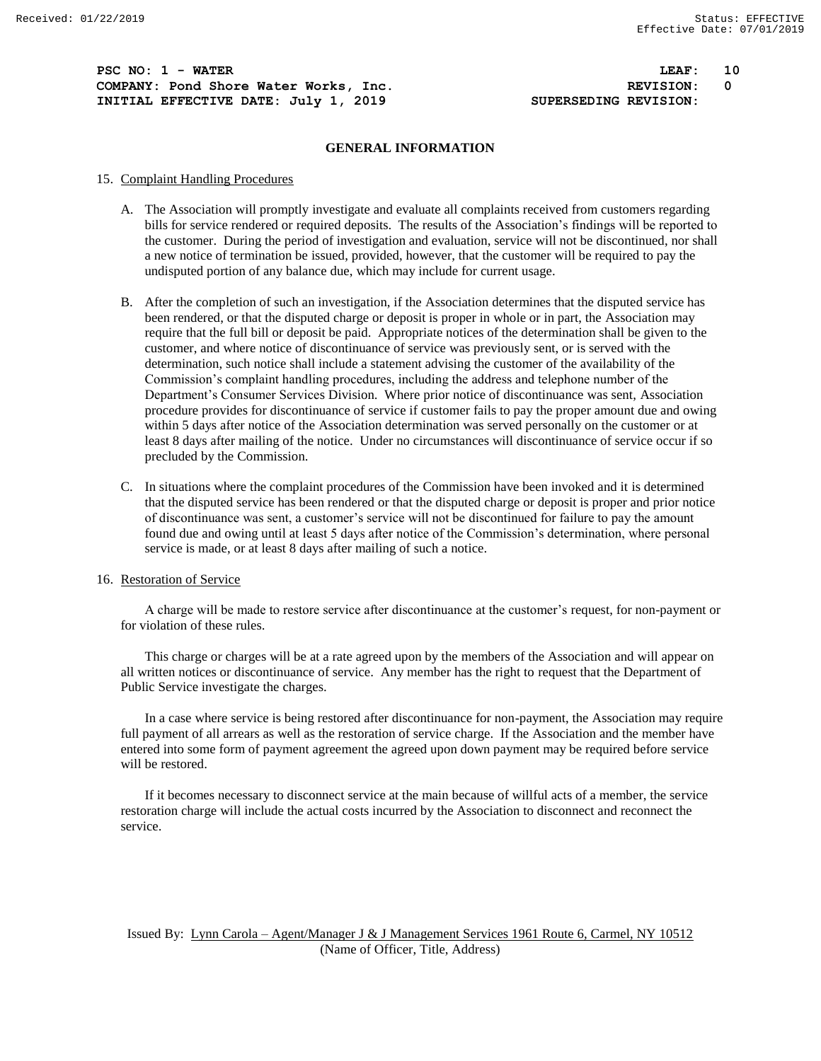**PSC NO: 1 - WATER LEAF: 10 COMPANY: Pond Shore Water Works, Inc. REVISION: 0 INITIAL EFFECTIVE DATE: July 1, 2019 SUPERSEDING REVISION:**

#### **GENERAL INFORMATION**

### 15. Complaint Handling Procedures

- A. The Association will promptly investigate and evaluate all complaints received from customers regarding bills for service rendered or required deposits. The results of the Association's findings will be reported to the customer. During the period of investigation and evaluation, service will not be discontinued, nor shall a new notice of termination be issued, provided, however, that the customer will be required to pay the undisputed portion of any balance due, which may include for current usage.
- B. After the completion of such an investigation, if the Association determines that the disputed service has been rendered, or that the disputed charge or deposit is proper in whole or in part, the Association may require that the full bill or deposit be paid. Appropriate notices of the determination shall be given to the customer, and where notice of discontinuance of service was previously sent, or is served with the determination, such notice shall include a statement advising the customer of the availability of the Commission's complaint handling procedures, including the address and telephone number of the Department's Consumer Services Division. Where prior notice of discontinuance was sent, Association procedure provides for discontinuance of service if customer fails to pay the proper amount due and owing within 5 days after notice of the Association determination was served personally on the customer or at least 8 days after mailing of the notice. Under no circumstances will discontinuance of service occur if so precluded by the Commission.
- C. In situations where the complaint procedures of the Commission have been invoked and it is determined that the disputed service has been rendered or that the disputed charge or deposit is proper and prior notice of discontinuance was sent, a customer's service will not be discontinued for failure to pay the amount found due and owing until at least 5 days after notice of the Commission's determination, where personal service is made, or at least 8 days after mailing of such a notice.

#### 16. Restoration of Service

A charge will be made to restore service after discontinuance at the customer's request, for non-payment or for violation of these rules.

This charge or charges will be at a rate agreed upon by the members of the Association and will appear on all written notices or discontinuance of service. Any member has the right to request that the Department of Public Service investigate the charges.

In a case where service is being restored after discontinuance for non-payment, the Association may require full payment of all arrears as well as the restoration of service charge. If the Association and the member have entered into some form of payment agreement the agreed upon down payment may be required before service will be restored.

If it becomes necessary to disconnect service at the main because of willful acts of a member, the service restoration charge will include the actual costs incurred by the Association to disconnect and reconnect the service.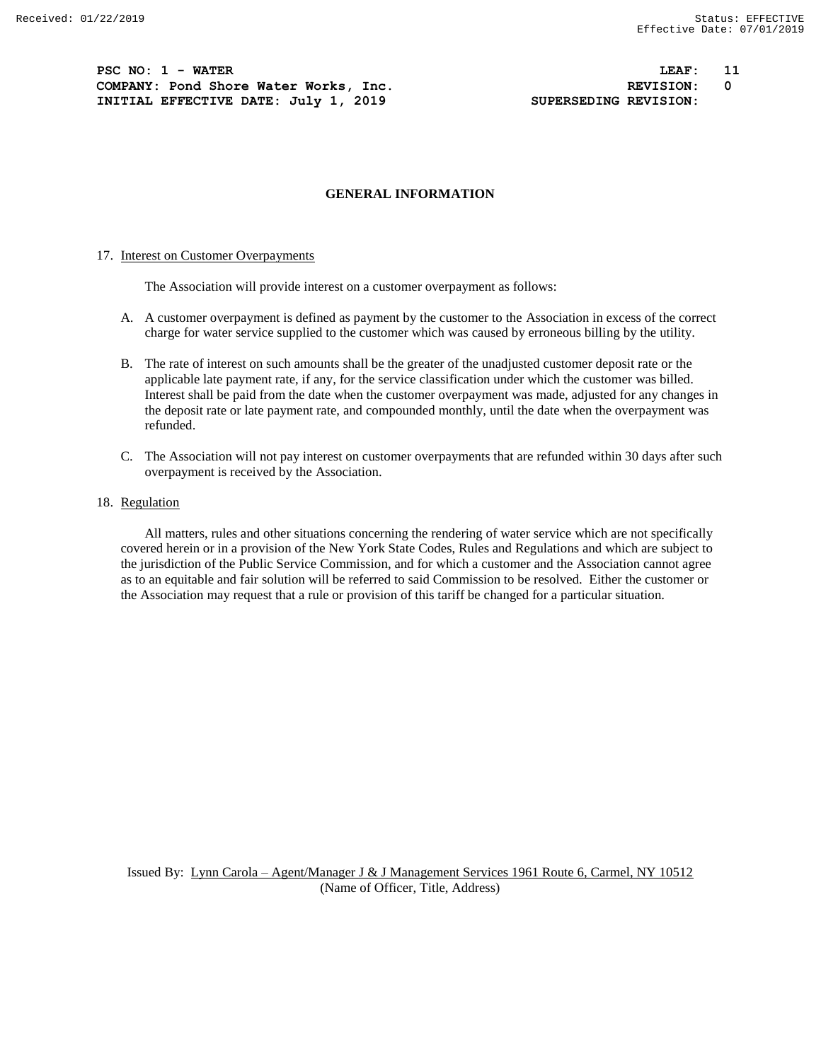**PSC NO: 1 - WATER LEAF: 11 COMPANY: Pond Shore Water Works, Inc. REVISION: 0 INITIAL EFFECTIVE DATE: July 1, 2019 SUPERSEDING REVISION:**

#### **GENERAL INFORMATION**

#### 17. Interest on Customer Overpayments

The Association will provide interest on a customer overpayment as follows:

- A. A customer overpayment is defined as payment by the customer to the Association in excess of the correct charge for water service supplied to the customer which was caused by erroneous billing by the utility.
- B. The rate of interest on such amounts shall be the greater of the unadjusted customer deposit rate or the applicable late payment rate, if any, for the service classification under which the customer was billed. Interest shall be paid from the date when the customer overpayment was made, adjusted for any changes in the deposit rate or late payment rate, and compounded monthly, until the date when the overpayment was refunded.
- C. The Association will not pay interest on customer overpayments that are refunded within 30 days after such overpayment is received by the Association.
- 18. Regulation

All matters, rules and other situations concerning the rendering of water service which are not specifically covered herein or in a provision of the New York State Codes, Rules and Regulations and which are subject to the jurisdiction of the Public Service Commission, and for which a customer and the Association cannot agree as to an equitable and fair solution will be referred to said Commission to be resolved. Either the customer or the Association may request that a rule or provision of this tariff be changed for a particular situation.